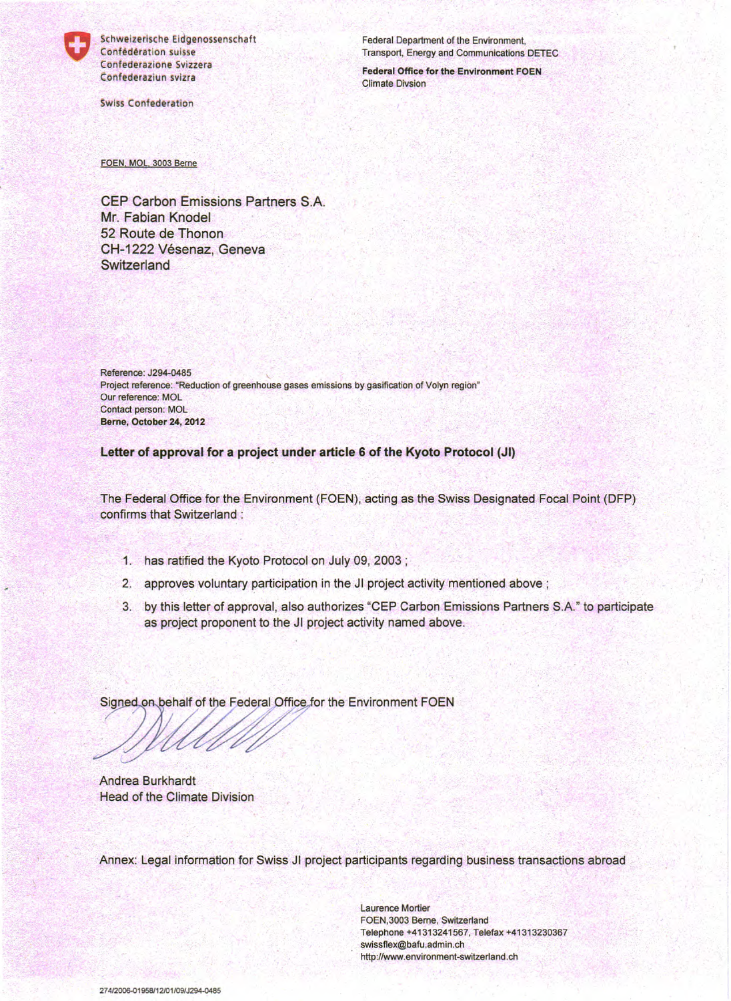

Schweizerische Eidgenossenschaft Confédération suisse Confederazione Svizzera Confederaziun svizra

**Swiss Confederation** 

Federal Department of the Environment, Transport, Energy and Communications DETEC

**Federal Office for the Environment FOEN Climate Divsion** 

FOEN, MOL, 3003 Berne

CEP Carbon Emissions Partners S.A. Mr. Fabian Knodel 52 Route de Thonon CH-1222 Vésenaz, Geneva Switzerland

Reference: J294-0485 Project reference: "Reduction of greenhouse gases emissions by gasification of Volyn region" Our reference: MOL Contact person: MOL Berne, October 24, 2012

Letter of approval for a project under article 6 of the Kyoto Protocol (JI)

The Federal Office for the Environment (FOEN), acting as the Swiss Designated Focal Point (DFP) confirms that Switzerland:

- 1. has ratified the Kyoto Protocol on July 09, 2003;
- 2. approves voluntary participation in the JI project activity mentioned above ;
- 3. by this letter of approval, also authorizes "CEP Carbon Emissions Partners S.A." to participate as project proponent to the JI project activity named above.

Signed on behalf of the Federal Office for the Environment FOEN

**Andrea Burkhardt** Head of the Climate Division

Annex: Legal information for Swiss JI project participants regarding business transactions abroad

**Laurence Mortier** FOEN, 3003 Berne, Switzerland Telephone +41313241567, Telefax +41313230367 swissflex@bafu.admin.ch http://www.environment-switzerland.ch